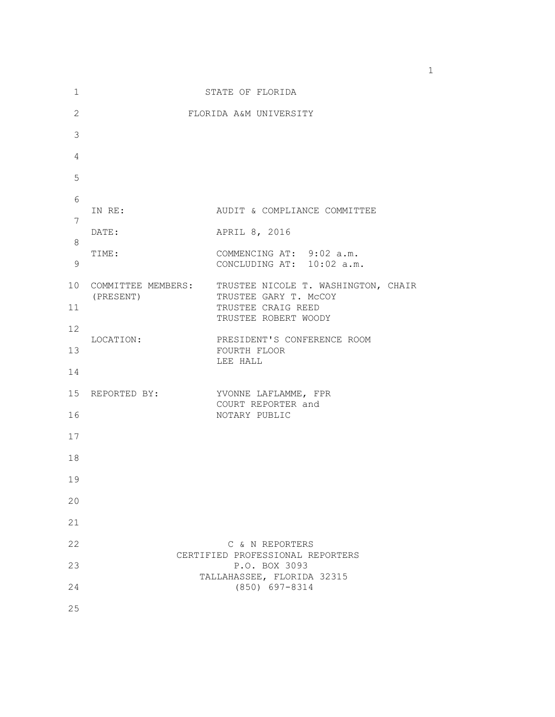| 1                     | STATE OF FLORIDA                |                                                                                                            |  |
|-----------------------|---------------------------------|------------------------------------------------------------------------------------------------------------|--|
| $\mathbf{2}$          |                                 | FLORIDA A&M UNIVERSITY                                                                                     |  |
| 3                     |                                 |                                                                                                            |  |
| $\overline{4}$        |                                 |                                                                                                            |  |
| 5                     |                                 |                                                                                                            |  |
| 6                     | IN RE:                          | AUDIT & COMPLIANCE COMMITTEE                                                                               |  |
| 7                     | DATE:                           | APRIL 8, 2016                                                                                              |  |
| 8<br>9                | TIME:                           | COMMENCING AT: 9:02 a.m.<br>CONCLUDING AT: 10:02 a.m.                                                      |  |
| 10 <sup>°</sup><br>11 | COMMITTEE MEMBERS:<br>(PRESENT) | TRUSTEE NICOLE T. WASHINGTON, CHAIR<br>TRUSTEE GARY T. MCCOY<br>TRUSTEE CRAIG REED<br>TRUSTEE ROBERT WOODY |  |
| 12                    |                                 | PRESIDENT'S CONFERENCE ROOM                                                                                |  |
| 13<br>14              | LOCATION:                       | FOURTH FLOOR<br>LEE HALL                                                                                   |  |
| 15                    | REPORTED BY:                    | YVONNE LAFLAMME, FPR                                                                                       |  |
| 16                    |                                 | COURT REPORTER and<br>NOTARY PUBLIC                                                                        |  |
| 17                    |                                 |                                                                                                            |  |
| 18                    |                                 |                                                                                                            |  |
| 19                    |                                 |                                                                                                            |  |
| 20                    |                                 |                                                                                                            |  |
| 21                    |                                 |                                                                                                            |  |
| 22                    |                                 | C & N REPORTERS                                                                                            |  |
| 23                    |                                 | CERTIFIED PROFESSIONAL REPORTERS<br>P.O. BOX 3093                                                          |  |
| 24                    |                                 | TALLAHASSEE, FLORIDA 32315<br>$(850)$ 697-8314                                                             |  |
| 25                    |                                 |                                                                                                            |  |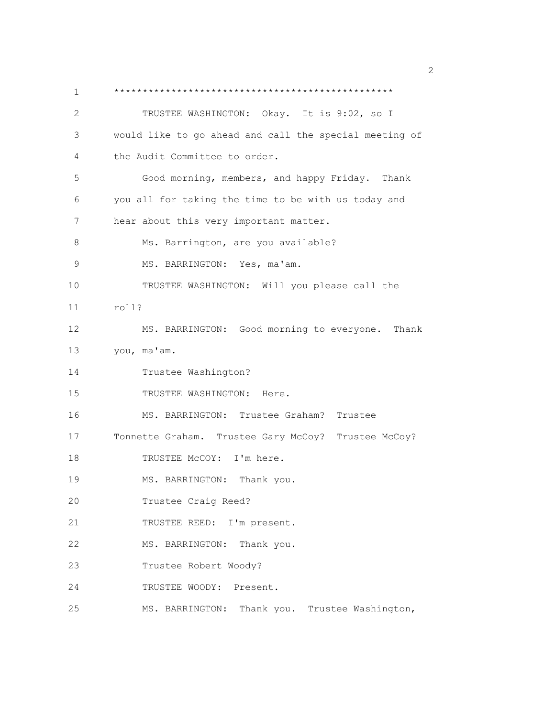1 \*\*\*\*\*\*\*\*\*\*\*\*\*\*\*\*\*\*\*\*\*\*\*\*\*\*\*\*\*\*\*\*\*\*\*\*\*\*\*\*\*\*\*\*\*\*\*\*\* 2 TRUSTEE WASHINGTON: Okay. It is 9:02, so I 3 would like to go ahead and call the special meeting of 4 the Audit Committee to order. 5 Good morning, members, and happy Friday. Thank 6 you all for taking the time to be with us today and 7 hear about this very important matter. 8 Ms. Barrington, are you available? 9 MS. BARRINGTON: Yes, ma'am. 10 TRUSTEE WASHINGTON: Will you please call the 11 roll? 12 MS. BARRINGTON: Good morning to everyone. Thank 13 you, ma'am. 14 Trustee Washington? 15 TRUSTEE WASHINGTON: Here. 16 MS. BARRINGTON: Trustee Graham? Trustee 17 Tonnette Graham. Trustee Gary McCoy? Trustee McCoy? 18 TRUSTEE McCOY: I'm here. 19 MS. BARRINGTON: Thank you. 20 Trustee Craig Reed? 21 TRUSTEE REED: I'm present. 22 MS. BARRINGTON: Thank you. 23 Trustee Robert Woody? 24 TRUSTEE WOODY: Present. 25 MS. BARRINGTON: Thank you. Trustee Washington,

 $\sim$  2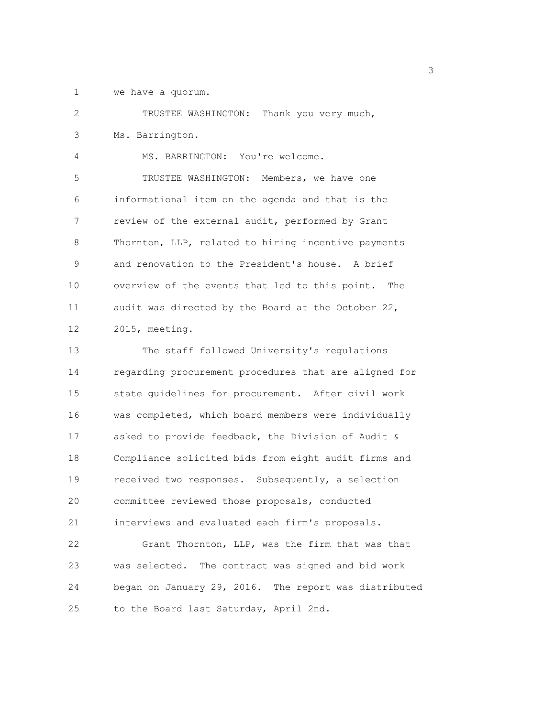1 we have a quorum.

2 TRUSTEE WASHINGTON: Thank you very much, 3 Ms. Barrington. 4 MS. BARRINGTON: You're welcome. 5 TRUSTEE WASHINGTON: Members, we have one 6 informational item on the agenda and that is the 7 review of the external audit, performed by Grant 8 Thornton, LLP, related to hiring incentive payments 9 and renovation to the President's house. A brief 10 overview of the events that led to this point. The 11 audit was directed by the Board at the October 22, 12 2015, meeting. 13 The staff followed University's regulations 14 regarding procurement procedures that are aligned for 15 state guidelines for procurement. After civil work 16 was completed, which board members were individually 17 asked to provide feedback, the Division of Audit & 18 Compliance solicited bids from eight audit firms and 19 received two responses. Subsequently, a selection 20 committee reviewed those proposals, conducted 21 interviews and evaluated each firm's proposals. 22 Grant Thornton, LLP, was the firm that was that 23 was selected. The contract was signed and bid work 24 began on January 29, 2016. The report was distributed

25 to the Board last Saturday, April 2nd.

 $\sim$  3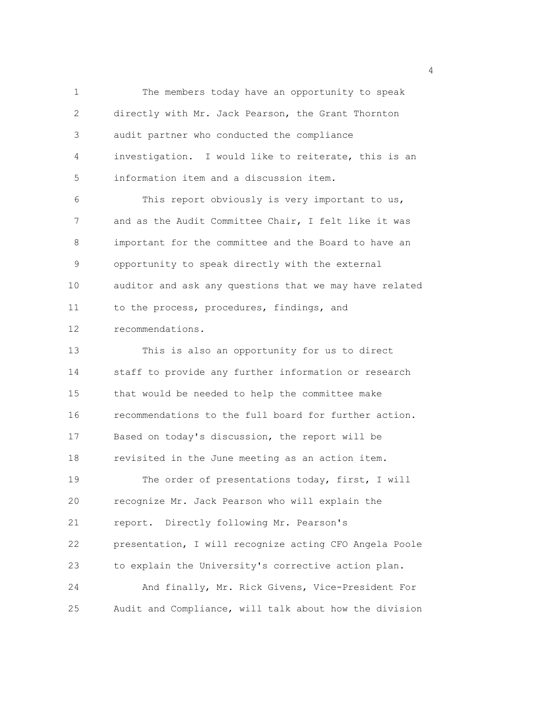1 The members today have an opportunity to speak 2 directly with Mr. Jack Pearson, the Grant Thornton 3 audit partner who conducted the compliance 4 investigation. I would like to reiterate, this is an 5 information item and a discussion item. 6 This report obviously is very important to us, 7 and as the Audit Committee Chair, I felt like it was 8 important for the committee and the Board to have an 9 opportunity to speak directly with the external 10 auditor and ask any questions that we may have related 11 to the process, procedures, findings, and 12 recommendations. 13 This is also an opportunity for us to direct 14 staff to provide any further information or research 15 that would be needed to help the committee make 16 recommendations to the full board for further action. 17 Based on today's discussion, the report will be 18 revisited in the June meeting as an action item. 19 The order of presentations today, first, I will 20 recognize Mr. Jack Pearson who will explain the 21 report. Directly following Mr. Pearson's 22 presentation, I will recognize acting CFO Angela Poole 23 to explain the University's corrective action plan. 24 And finally, Mr. Rick Givens, Vice-President For 25 Audit and Compliance, will talk about how the division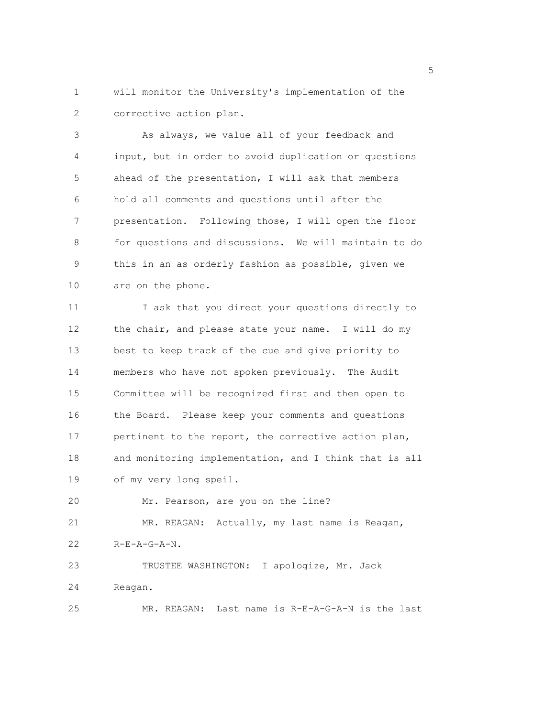1 will monitor the University's implementation of the 2 corrective action plan.

3 As always, we value all of your feedback and 4 input, but in order to avoid duplication or questions 5 ahead of the presentation, I will ask that members 6 hold all comments and questions until after the 7 presentation. Following those, I will open the floor 8 for questions and discussions. We will maintain to do 9 this in an as orderly fashion as possible, given we 10 are on the phone.

11 I ask that you direct your questions directly to 12 the chair, and please state your name. I will do my 13 best to keep track of the cue and give priority to 14 members who have not spoken previously. The Audit 15 Committee will be recognized first and then open to 16 the Board. Please keep your comments and questions 17 pertinent to the report, the corrective action plan, 18 and monitoring implementation, and I think that is all 19 of my very long speil.

20 Mr. Pearson, are you on the line?

21 MR. REAGAN: Actually, my last name is Reagan, 22 R-E-A-G-A-N.

23 TRUSTEE WASHINGTON: I apologize, Mr. Jack 24 Reagan. 25 MR. REAGAN: Last name is R-E-A-G-A-N is the last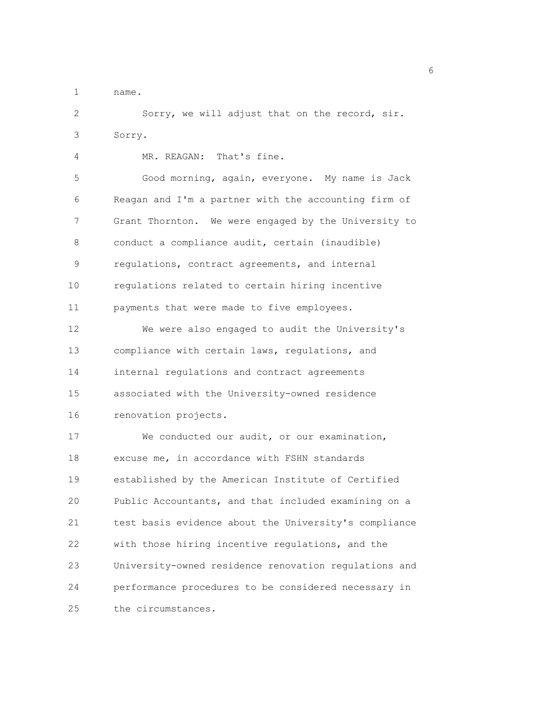1 name.

2 Sorry, we will adjust that on the record, sir. 3 Sorry.

4 MR. REAGAN: That's fine. 5 Good morning, again, everyone. My name is Jack 6 Reagan and I'm a partner with the accounting firm of 7 Grant Thornton. We were engaged by the University to 8 conduct a compliance audit, certain (inaudible) 9 regulations, contract agreements, and internal 10 regulations related to certain hiring incentive 11 payments that were made to five employees. 12 We were also engaged to audit the University's 13 compliance with certain laws, regulations, and 14 internal regulations and contract agreements 15 associated with the University-owned residence 16 renovation projects. 17 We conducted our audit, or our examination, 18 excuse me, in accordance with FSHN standards

19 established by the American Institute of Certified 20 Public Accountants, and that included examining on a 21 test basis evidence about the University's compliance 22 with those hiring incentive regulations, and the 23 University-owned residence renovation regulations and 24 performance procedures to be considered necessary in 25 the circumstances.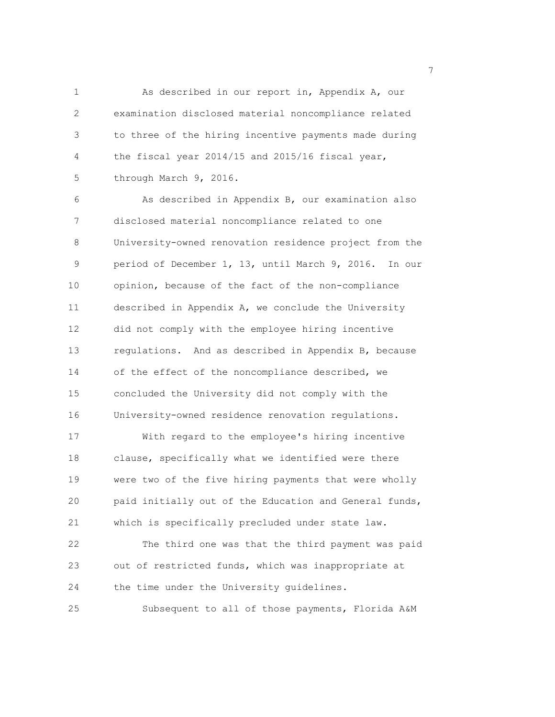1 As described in our report in, Appendix A, our 2 examination disclosed material noncompliance related 3 to three of the hiring incentive payments made during 4 the fiscal year 2014/15 and 2015/16 fiscal year, 5 through March 9, 2016.

6 As described in Appendix B, our examination also 7 disclosed material noncompliance related to one 8 University-owned renovation residence project from the 9 period of December 1, 13, until March 9, 2016. In our 10 opinion, because of the fact of the non-compliance 11 described in Appendix A, we conclude the University 12 did not comply with the employee hiring incentive 13 regulations. And as described in Appendix B, because 14 of the effect of the noncompliance described, we 15 concluded the University did not comply with the 16 University-owned residence renovation regulations. 17 With regard to the employee's hiring incentive 18 clause, specifically what we identified were there 19 were two of the five hiring payments that were wholly

20 paid initially out of the Education and General funds, 21 which is specifically precluded under state law. 22 The third one was that the third payment was paid

23 out of restricted funds, which was inappropriate at 24 the time under the University guidelines. 25 Subsequent to all of those payments, Florida A&M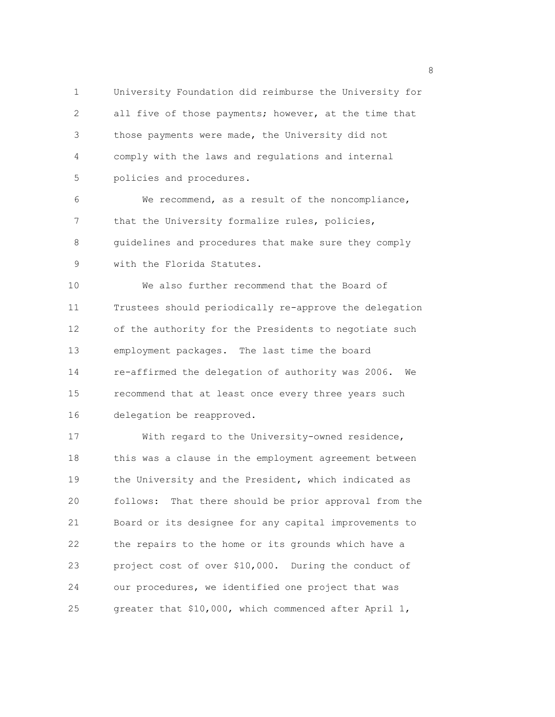1 University Foundation did reimburse the University for 2 all five of those payments; however, at the time that 3 those payments were made, the University did not 4 comply with the laws and regulations and internal 5 policies and procedures.

6 We recommend, as a result of the noncompliance, 7 that the University formalize rules, policies, 8 guidelines and procedures that make sure they comply 9 with the Florida Statutes.

10 We also further recommend that the Board of 11 Trustees should periodically re-approve the delegation 12 of the authority for the Presidents to negotiate such 13 employment packages. The last time the board 14 re-affirmed the delegation of authority was 2006. We 15 recommend that at least once every three years such 16 delegation be reapproved.

17 With regard to the University-owned residence, 18 this was a clause in the employment agreement between 19 the University and the President, which indicated as 20 follows: That there should be prior approval from the 21 Board or its designee for any capital improvements to 22 the repairs to the home or its grounds which have a 23 project cost of over \$10,000. During the conduct of 24 our procedures, we identified one project that was 25 greater that \$10,000, which commenced after April 1,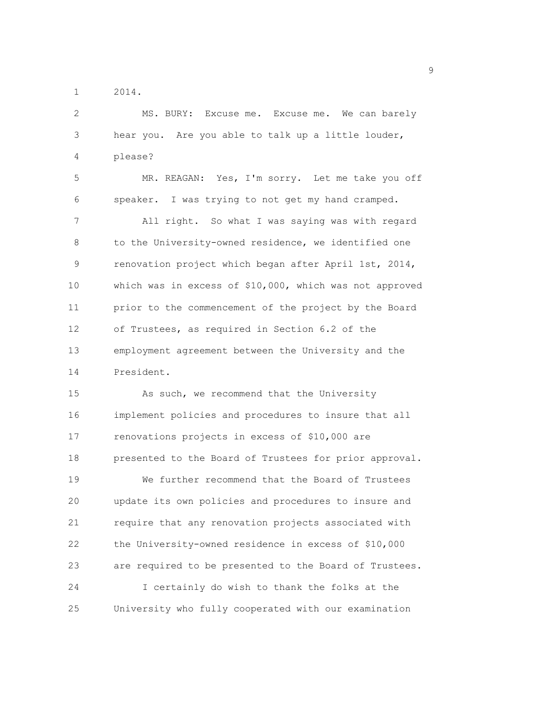1 2014.

2 MS. BURY: Excuse me. Excuse me. We can barely 3 hear you. Are you able to talk up a little louder, 4 please? 5 MR. REAGAN: Yes, I'm sorry. Let me take you off 6 speaker. I was trying to not get my hand cramped. 7 All right. So what I was saying was with regard 8 to the University-owned residence, we identified one 9 renovation project which began after April 1st, 2014, 10 which was in excess of \$10,000, which was not approved 11 prior to the commencement of the project by the Board 12 of Trustees, as required in Section 6.2 of the 13 employment agreement between the University and the 14 President. 15 As such, we recommend that the University 16 implement policies and procedures to insure that all 17 renovations projects in excess of \$10,000 are 18 presented to the Board of Trustees for prior approval. 19 We further recommend that the Board of Trustees 20 update its own policies and procedures to insure and 21 require that any renovation projects associated with 22 the University-owned residence in excess of \$10,000 23 are required to be presented to the Board of Trustees. 24 I certainly do wish to thank the folks at the 25 University who fully cooperated with our examination

en de la provincia de la provincia de la provincia de la provincia de la provincia de la provincia de la provi<br>1900 : la provincia de la provincia de la provincia de la provincia de la provincia de la provincia de la prov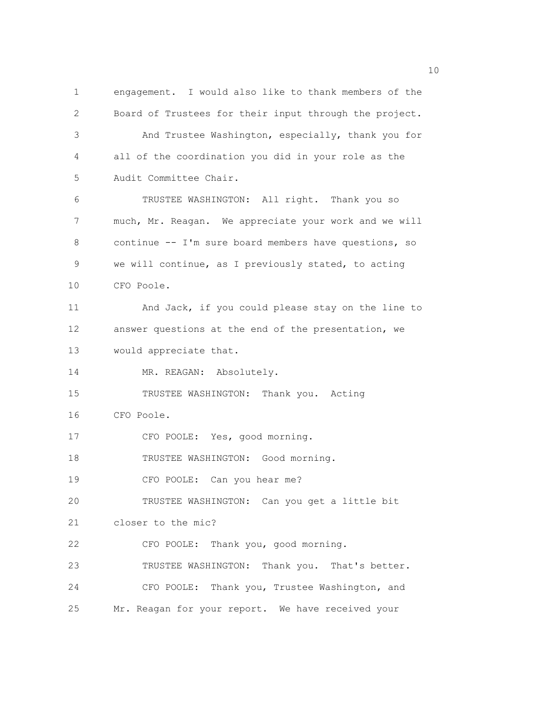1 engagement. I would also like to thank members of the 2 Board of Trustees for their input through the project. 3 And Trustee Washington, especially, thank you for 4 all of the coordination you did in your role as the 5 Audit Committee Chair. 6 TRUSTEE WASHINGTON: All right. Thank you so 7 much, Mr. Reagan. We appreciate your work and we will 8 continue -- I'm sure board members have questions, so 9 we will continue, as I previously stated, to acting 10 CFO Poole. 11 And Jack, if you could please stay on the line to 12 answer questions at the end of the presentation, we 13 would appreciate that. 14 MR. REAGAN: Absolutely. 15 TRUSTEE WASHINGTON: Thank you. Acting 16 CFO Poole. 17 CFO POOLE: Yes, good morning. 18 TRUSTEE WASHINGTON: Good morning. 19 CFO POOLE: Can you hear me? 20 TRUSTEE WASHINGTON: Can you get a little bit 21 closer to the mic? 22 CFO POOLE: Thank you, good morning. 23 TRUSTEE WASHINGTON: Thank you. That's better. 24 CFO POOLE: Thank you, Trustee Washington, and 25 Mr. Reagan for your report. We have received your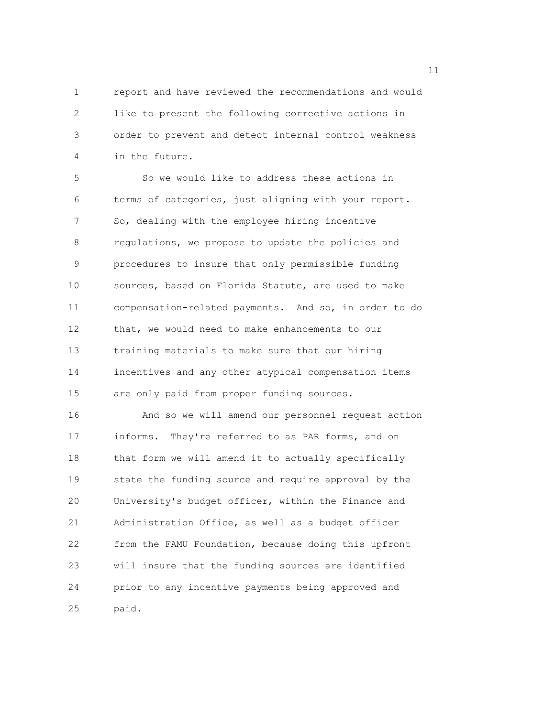1 report and have reviewed the recommendations and would 2 like to present the following corrective actions in 3 order to prevent and detect internal control weakness 4 in the future.

5 So we would like to address these actions in 6 terms of categories, just aligning with your report. 7 So, dealing with the employee hiring incentive 8 regulations, we propose to update the policies and 9 procedures to insure that only permissible funding 10 sources, based on Florida Statute, are used to make 11 compensation-related payments. And so, in order to do 12 that, we would need to make enhancements to our 13 training materials to make sure that our hiring 14 incentives and any other atypical compensation items 15 are only paid from proper funding sources. 16 And so we will amend our personnel request action

17 informs. They're referred to as PAR forms, and on 18 that form we will amend it to actually specifically 19 state the funding source and require approval by the 20 University's budget officer, within the Finance and 21 Administration Office, as well as a budget officer 22 from the FAMU Foundation, because doing this upfront 23 will insure that the funding sources are identified 24 prior to any incentive payments being approved and 25 paid.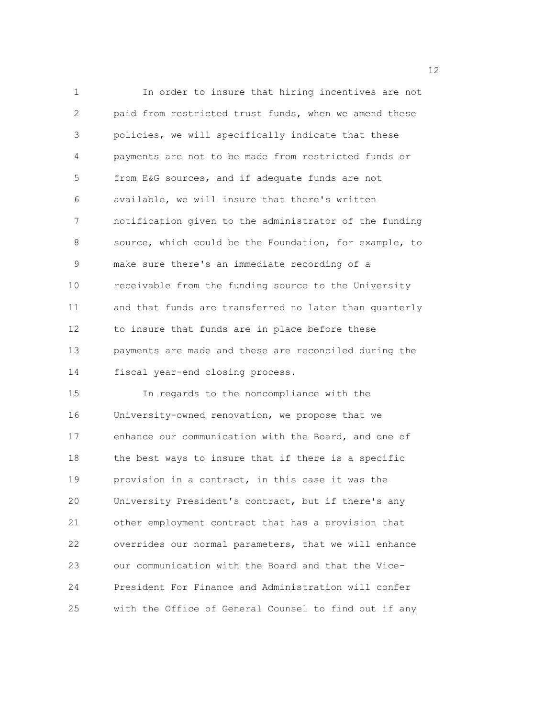1 In order to insure that hiring incentives are not 2 paid from restricted trust funds, when we amend these 3 policies, we will specifically indicate that these 4 payments are not to be made from restricted funds or 5 from E&G sources, and if adequate funds are not 6 available, we will insure that there's written 7 notification given to the administrator of the funding 8 source, which could be the Foundation, for example, to 9 make sure there's an immediate recording of a 10 receivable from the funding source to the University 11 and that funds are transferred no later than quarterly 12 to insure that funds are in place before these 13 payments are made and these are reconciled during the 14 fiscal year-end closing process. 15 In regards to the noncompliance with the 16 University-owned renovation, we propose that we 17 enhance our communication with the Board, and one of 18 the best ways to insure that if there is a specific 19 provision in a contract, in this case it was the 20 University President's contract, but if there's any 21 other employment contract that has a provision that 22 overrides our normal parameters, that we will enhance 23 our communication with the Board and that the Vice-24 President For Finance and Administration will confer

25 with the Office of General Counsel to find out if any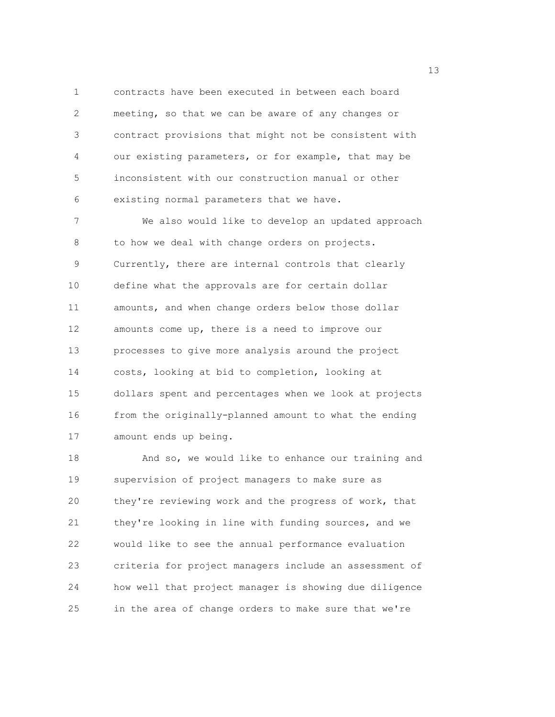1 contracts have been executed in between each board 2 meeting, so that we can be aware of any changes or 3 contract provisions that might not be consistent with 4 our existing parameters, or for example, that may be 5 inconsistent with our construction manual or other 6 existing normal parameters that we have.

7 We also would like to develop an updated approach 8 to how we deal with change orders on projects. 9 Currently, there are internal controls that clearly 10 define what the approvals are for certain dollar 11 amounts, and when change orders below those dollar 12 amounts come up, there is a need to improve our 13 processes to give more analysis around the project 14 costs, looking at bid to completion, looking at 15 dollars spent and percentages when we look at projects 16 from the originally-planned amount to what the ending 17 amount ends up being.

18 And so, we would like to enhance our training and 19 supervision of project managers to make sure as 20 they're reviewing work and the progress of work, that 21 they're looking in line with funding sources, and we 22 would like to see the annual performance evaluation 23 criteria for project managers include an assessment of 24 how well that project manager is showing due diligence 25 in the area of change orders to make sure that we're

13 and 13 and 13 and 13 and 13 and 13 and 13 and 13 and 13 and 13 and 13 and 13 and 13 and 13 and 13 and 13 and 13 and 13 and 13 and 13 and 13 and 13 and 13 and 13 and 13 and 13 and 13 and 13 and 13 and 13 and 13 and 13 an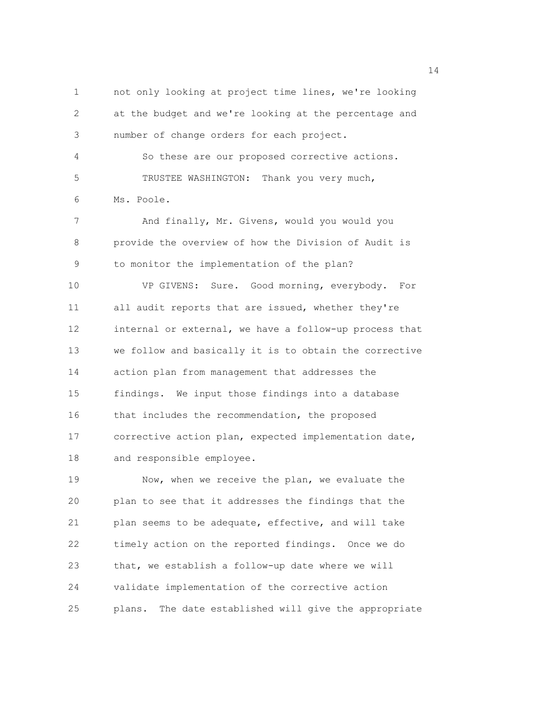1 not only looking at project time lines, we're looking 2 at the budget and we're looking at the percentage and 3 number of change orders for each project. 4 So these are our proposed corrective actions. 5 TRUSTEE WASHINGTON: Thank you very much, 6 Ms. Poole. 7 And finally, Mr. Givens, would you would you 8 provide the overview of how the Division of Audit is 9 to monitor the implementation of the plan? 10 VP GIVENS: Sure. Good morning, everybody. For 11 all audit reports that are issued, whether they're 12 internal or external, we have a follow-up process that 13 we follow and basically it is to obtain the corrective 14 action plan from management that addresses the 15 findings. We input those findings into a database 16 that includes the recommendation, the proposed 17 corrective action plan, expected implementation date, 18 and responsible employee. 19 Now, when we receive the plan, we evaluate the 20 plan to see that it addresses the findings that the 21 plan seems to be adequate, effective, and will take 22 timely action on the reported findings. Once we do 23 that, we establish a follow-up date where we will 24 validate implementation of the corrective action

25 plans. The date established will give the appropriate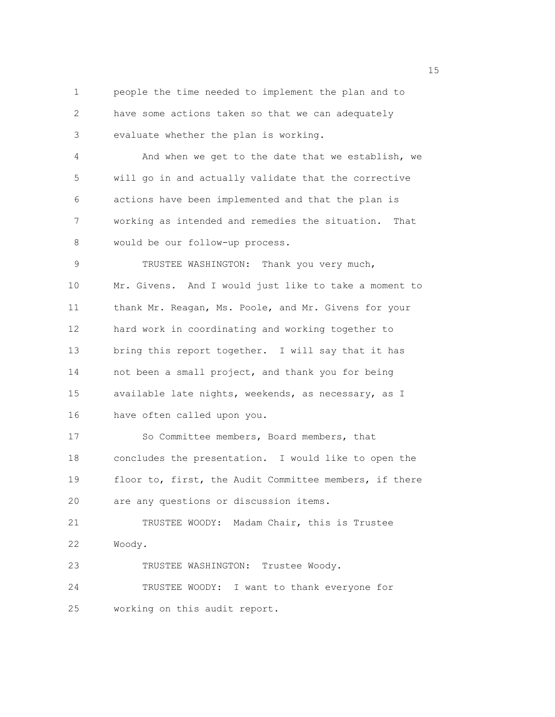1 people the time needed to implement the plan and to 2 have some actions taken so that we can adequately 3 evaluate whether the plan is working. 4 And when we get to the date that we establish, we 5 will go in and actually validate that the corrective 6 actions have been implemented and that the plan is 7 working as intended and remedies the situation. That 8 would be our follow-up process. 9 TRUSTEE WASHINGTON: Thank you very much, 10 Mr. Givens. And I would just like to take a moment to 11 thank Mr. Reagan, Ms. Poole, and Mr. Givens for your 12 hard work in coordinating and working together to 13 bring this report together. I will say that it has 14 not been a small project, and thank you for being 15 available late nights, weekends, as necessary, as I 16 have often called upon you. 17 So Committee members, Board members, that 18 concludes the presentation. I would like to open the 19 floor to, first, the Audit Committee members, if there 20 are any questions or discussion items. 21 TRUSTEE WOODY: Madam Chair, this is Trustee 22 Woody. 23 TRUSTEE WASHINGTON: Trustee Woody. 24 TRUSTEE WOODY: I want to thank everyone for 25 working on this audit report.

n 15 ann an 15 an t-Òire ann an 15 an t-Òire an t-Òire an t-Òire an t-Òire ann an 15 an t-Òire an t-Òire an t-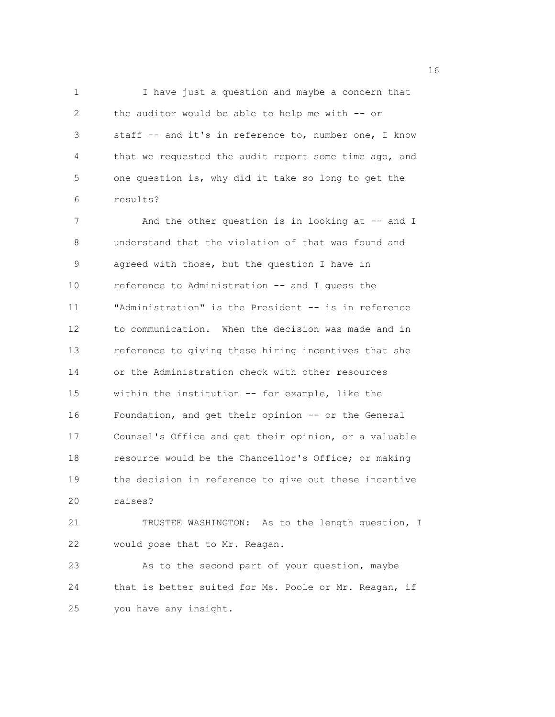1 I have just a question and maybe a concern that 2 the auditor would be able to help me with -- or 3 staff -- and it's in reference to, number one, I know 4 that we requested the audit report some time ago, and 5 one question is, why did it take so long to get the 6 results?

7 And the other question is in looking at -- and I 8 understand that the violation of that was found and 9 agreed with those, but the question I have in 10 reference to Administration -- and I guess the 11 "Administration" is the President -- is in reference 12 to communication. When the decision was made and in 13 reference to giving these hiring incentives that she 14 or the Administration check with other resources 15 within the institution -- for example, like the 16 Foundation, and get their opinion -- or the General 17 Counsel's Office and get their opinion, or a valuable 18 resource would be the Chancellor's Office; or making 19 the decision in reference to give out these incentive 20 raises?

21 TRUSTEE WASHINGTON: As to the length question, I 22 would pose that to Mr. Reagan.

23 As to the second part of your question, maybe 24 that is better suited for Ms. Poole or Mr. Reagan, if 25 you have any insight.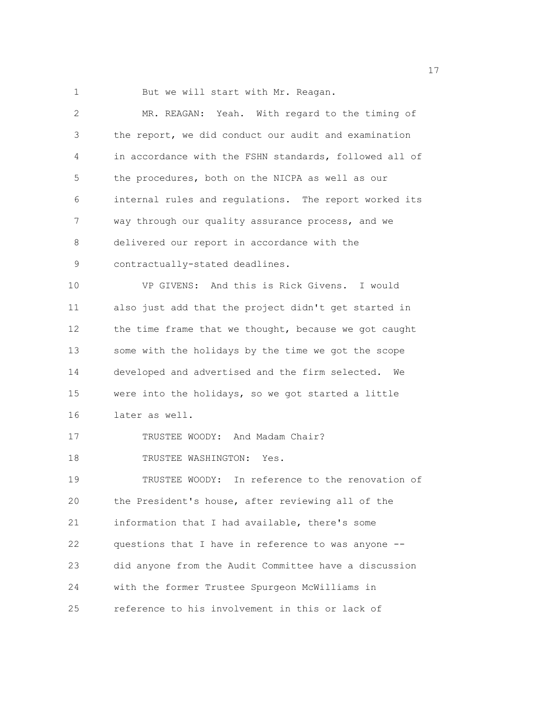1 But we will start with Mr. Reagan.

| 2           | MR. REAGAN: Yeah. With regard to the timing of         |
|-------------|--------------------------------------------------------|
| 3           | the report, we did conduct our audit and examination   |
| 4           | in accordance with the FSHN standards, followed all of |
| 5           | the procedures, both on the NICPA as well as our       |
| 6           | internal rules and regulations. The report worked its  |
| 7           | way through our quality assurance process, and we      |
| 8           | delivered our report in accordance with the            |
| $\mathsf 9$ | contractually-stated deadlines.                        |
| 10          | VP GIVENS: And this is Rick Givens. I would            |
| 11          | also just add that the project didn't get started in   |
| 12          | the time frame that we thought, because we got caught  |
| 13          | some with the holidays by the time we got the scope    |
| 14          | developed and advertised and the firm selected.<br>We  |
| 15          | were into the holidays, so we got started a little     |
| 16          | later as well.                                         |
| 17          | TRUSTEE WOODY: And Madam Chair?                        |
| 18          | TRUSTEE WASHINGTON:<br>Yes.                            |
| 19          | TRUSTEE WOODY: In reference to the renovation of       |
| 20          | the President's house, after reviewing all of the      |
| 21          | information that I had available, there's some         |
| 22          | questions that I have in reference to was anyone --    |
| 23          | did anyone from the Audit Committee have a discussion  |
| 24          | with the former Trustee Spurgeon McWilliams in         |
| 25          | reference to his involvement in this or lack of        |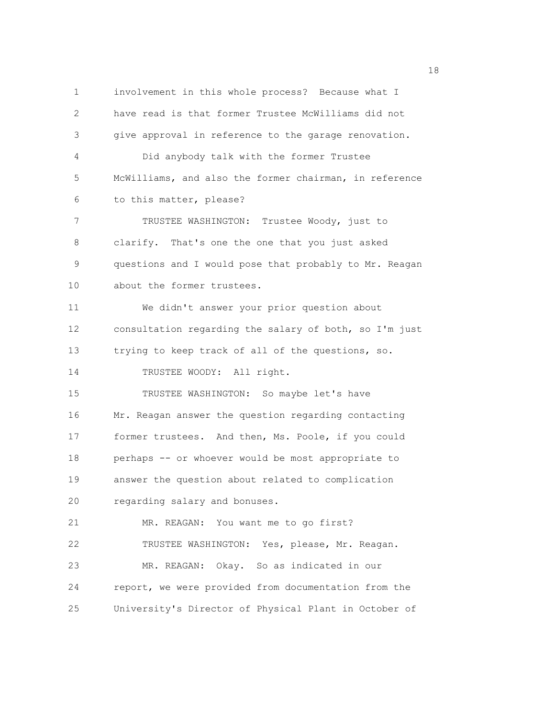1 involvement in this whole process? Because what I 2 have read is that former Trustee McWilliams did not 3 give approval in reference to the garage renovation. 4 Did anybody talk with the former Trustee 5 McWilliams, and also the former chairman, in reference 6 to this matter, please? 7 TRUSTEE WASHINGTON: Trustee Woody, just to 8 clarify. That's one the one that you just asked 9 questions and I would pose that probably to Mr. Reagan 10 about the former trustees. 11 We didn't answer your prior question about 12 consultation regarding the salary of both, so I'm just 13 trying to keep track of all of the questions, so. 14 TRUSTEE WOODY: All right. 15 TRUSTEE WASHINGTON: So maybe let's have 16 Mr. Reagan answer the question regarding contacting 17 former trustees. And then, Ms. Poole, if you could 18 perhaps -- or whoever would be most appropriate to 19 answer the question about related to complication 20 regarding salary and bonuses. 21 MR. REAGAN: You want me to go first? 22 TRUSTEE WASHINGTON: Yes, please, Mr. Reagan. 23 MR. REAGAN: Okay. So as indicated in our 24 report, we were provided from documentation from the 25 University's Director of Physical Plant in October of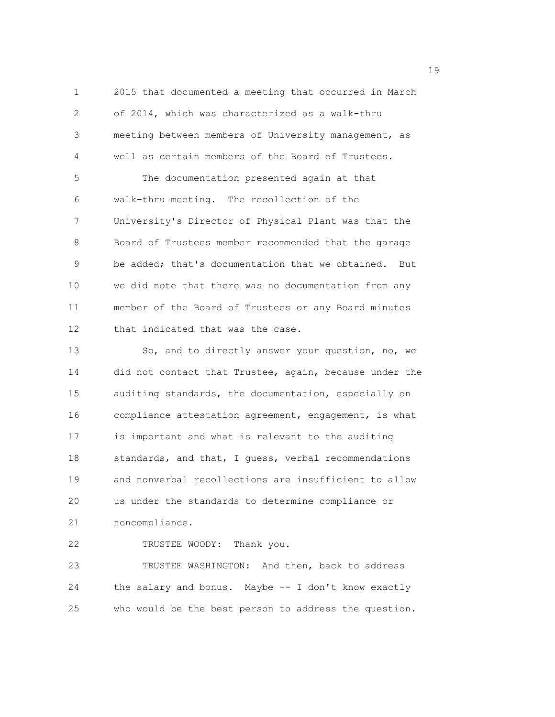1 2015 that documented a meeting that occurred in March 2 of 2014, which was characterized as a walk-thru 3 meeting between members of University management, as 4 well as certain members of the Board of Trustees. 5 The documentation presented again at that 6 walk-thru meeting. The recollection of the 7 University's Director of Physical Plant was that the 8 Board of Trustees member recommended that the garage 9 be added; that's documentation that we obtained. But 10 we did note that there was no documentation from any 11 member of the Board of Trustees or any Board minutes 12 that indicated that was the case.

13 So, and to directly answer your question, no, we 14 did not contact that Trustee, again, because under the 15 auditing standards, the documentation, especially on 16 compliance attestation agreement, engagement, is what 17 is important and what is relevant to the auditing 18 standards, and that, I guess, verbal recommendations 19 and nonverbal recollections are insufficient to allow 20 us under the standards to determine compliance or 21 noncompliance.

22 TRUSTEE WOODY: Thank you.

23 TRUSTEE WASHINGTON: And then, back to address 24 the salary and bonus. Maybe -- I don't know exactly 25 who would be the best person to address the question.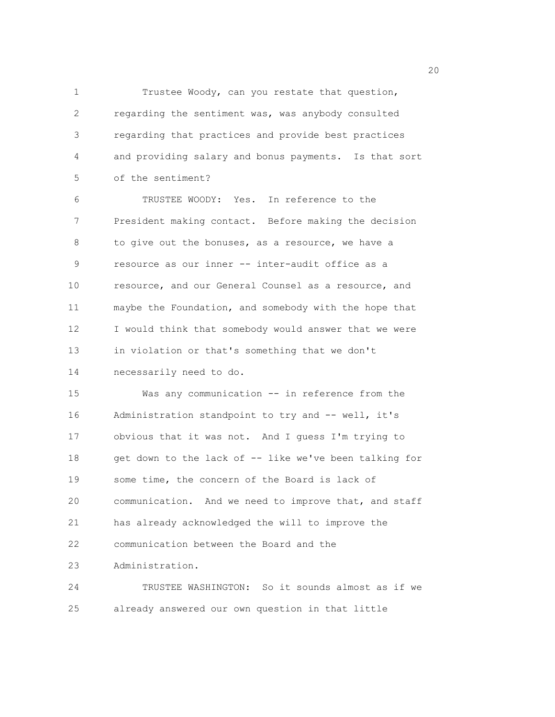1 Trustee Woody, can you restate that question, 2 regarding the sentiment was, was anybody consulted 3 regarding that practices and provide best practices 4 and providing salary and bonus payments. Is that sort 5 of the sentiment?

6 TRUSTEE WOODY: Yes. In reference to the 7 President making contact. Before making the decision 8 to give out the bonuses, as a resource, we have a 9 resource as our inner -- inter-audit office as a 10 resource, and our General Counsel as a resource, and 11 maybe the Foundation, and somebody with the hope that 12 I would think that somebody would answer that we were 13 in violation or that's something that we don't

14 necessarily need to do.

15 Was any communication -- in reference from the 16 Administration standpoint to try and -- well, it's 17 obvious that it was not. And I guess I'm trying to 18 get down to the lack of -- like we've been talking for 19 some time, the concern of the Board is lack of 20 communication. And we need to improve that, and staff 21 has already acknowledged the will to improve the 22 communication between the Board and the 23 Administration.

24 TRUSTEE WASHINGTON: So it sounds almost as if we 25 already answered our own question in that little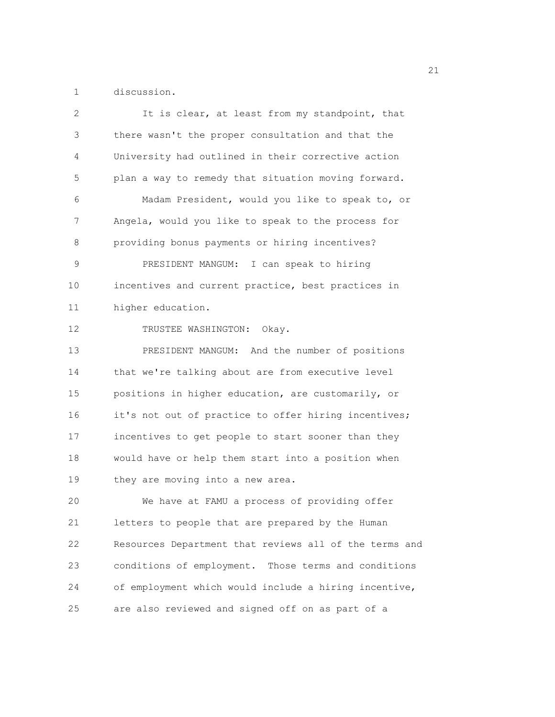1 discussion.

| 2  | It is clear, at least from my standpoint, that         |
|----|--------------------------------------------------------|
| 3  | there wasn't the proper consultation and that the      |
| 4  | University had outlined in their corrective action     |
| 5  | plan a way to remedy that situation moving forward.    |
| 6  | Madam President, would you like to speak to, or        |
| 7  | Angela, would you like to speak to the process for     |
| 8  | providing bonus payments or hiring incentives?         |
| 9  | PRESIDENT MANGUM: I can speak to hiring                |
| 10 | incentives and current practice, best practices in     |
| 11 | higher education.                                      |
| 12 | TRUSTEE WASHINGTON: Okay.                              |
| 13 | PRESIDENT MANGUM: And the number of positions          |
| 14 | that we're talking about are from executive level      |
| 15 | positions in higher education, are customarily, or     |
| 16 | it's not out of practice to offer hiring incentives;   |
| 17 | incentives to get people to start sooner than they     |
| 18 | would have or help them start into a position when     |
| 19 | they are moving into a new area.                       |
| 20 | We have at FAMU a process of providing offer           |
| 21 | letters to people that are prepared by the Human       |
| 22 | Resources Department that reviews all of the terms and |
| 23 | conditions of employment. Those terms and conditions   |
| 24 | of employment which would include a hiring incentive,  |
| 25 | are also reviewed and signed off on as part of a       |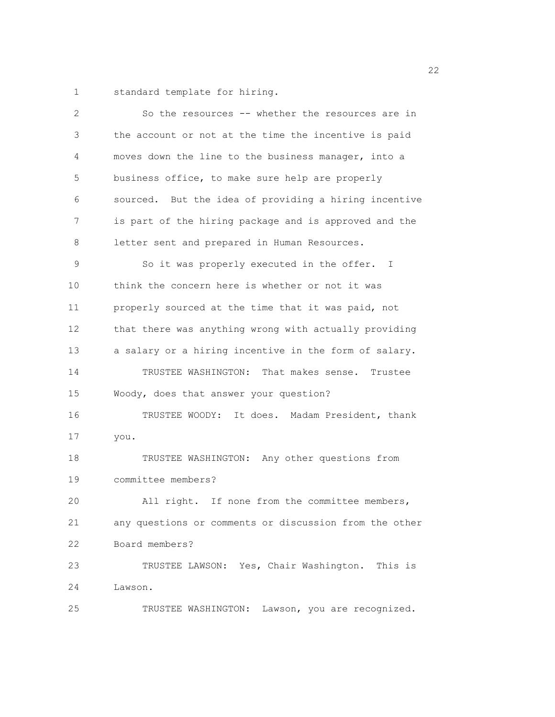1 standard template for hiring.

| 2              | So the resources -- whether the resources are in       |
|----------------|--------------------------------------------------------|
| $\mathfrak{Z}$ | the account or not at the time the incentive is paid   |
| 4              | moves down the line to the business manager, into a    |
| 5              | business office, to make sure help are properly        |
| 6              | sourced. But the idea of providing a hiring incentive  |
| 7              | is part of the hiring package and is approved and the  |
| 8              | letter sent and prepared in Human Resources.           |
| 9              | So it was properly executed in the offer. I            |
| 10             | think the concern here is whether or not it was        |
| 11             | properly sourced at the time that it was paid, not     |
| 12             | that there was anything wrong with actually providing  |
| 13             | a salary or a hiring incentive in the form of salary.  |
| 14             | TRUSTEE WASHINGTON: That makes sense. Trustee          |
| 15             | Woody, does that answer your question?                 |
| 16             | TRUSTEE WOODY: It does. Madam President, thank         |
| 17             | you.                                                   |
| 18             | TRUSTEE WASHINGTON: Any other questions from           |
| 19             | committee members?                                     |
| 20             | All right. If none from the committee members,         |
| 21             | any questions or comments or discussion from the other |
| 22             | Board members?                                         |
| 23             | TRUSTEE LAWSON: Yes, Chair Washington. This is         |
| 24             | Lawson.                                                |
| 25             | Lawson, you are recognized.<br>TRUSTEE WASHINGTON:     |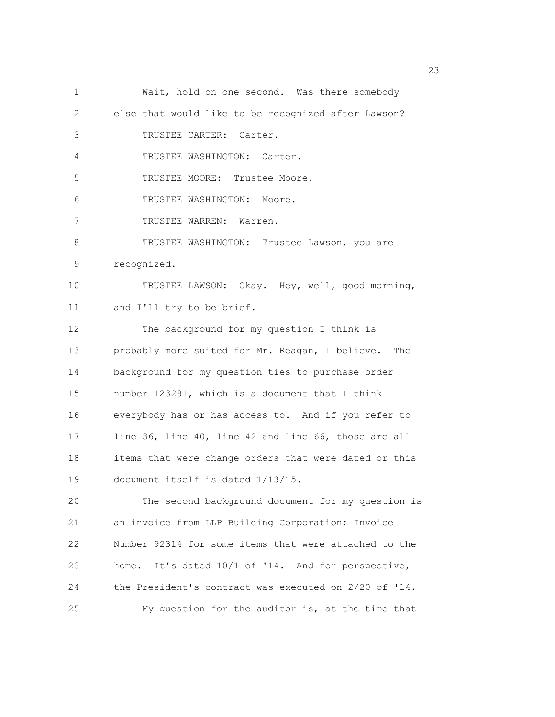1 Wait, hold on one second. Was there somebody 2 else that would like to be recognized after Lawson? 3 TRUSTEE CARTER: Carter. 4 TRUSTEE WASHINGTON: Carter. 5 TRUSTEE MOORE: Trustee Moore. 6 TRUSTEE WASHINGTON: Moore. 7 TRUSTEE WARREN: Warren. 8 TRUSTEE WASHINGTON: Trustee Lawson, you are 9 recognized. 10 TRUSTEE LAWSON: Okay. Hey, well, good morning, 11 and I'll try to be brief. 12 The background for my question I think is 13 probably more suited for Mr. Reagan, I believe. The 14 background for my question ties to purchase order 15 number 123281, which is a document that I think 16 everybody has or has access to. And if you refer to 17 line 36, line 40, line 42 and line 66, those are all 18 items that were change orders that were dated or this 19 document itself is dated 1/13/15. 20 The second background document for my question is 21 an invoice from LLP Building Corporation; Invoice 22 Number 92314 for some items that were attached to the 23 home. It's dated 10/1 of '14. And for perspective, 24 the President's contract was executed on 2/20 of '14. 25 My question for the auditor is, at the time that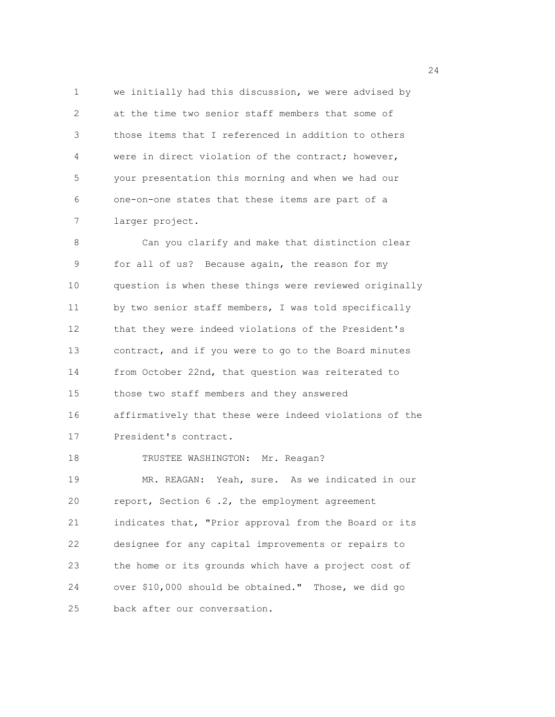1 we initially had this discussion, we were advised by 2 at the time two senior staff members that some of 3 those items that I referenced in addition to others 4 were in direct violation of the contract; however, 5 your presentation this morning and when we had our 6 one-on-one states that these items are part of a 7 larger project.

8 Can you clarify and make that distinction clear 9 for all of us? Because again, the reason for my 10 question is when these things were reviewed originally 11 by two senior staff members, I was told specifically 12 that they were indeed violations of the President's 13 contract, and if you were to go to the Board minutes 14 from October 22nd, that question was reiterated to 15 those two staff members and they answered 16 affirmatively that these were indeed violations of the 17 President's contract. 18 TRUSTEE WASHINGTON: Mr. Reagan? 19 MR. REAGAN: Yeah, sure. As we indicated in our 20 report, Section 6 .2, the employment agreement 21 indicates that, "Prior approval from the Board or its 22 designee for any capital improvements or repairs to 23 the home or its grounds which have a project cost of 24 over \$10,000 should be obtained." Those, we did go 25 back after our conversation.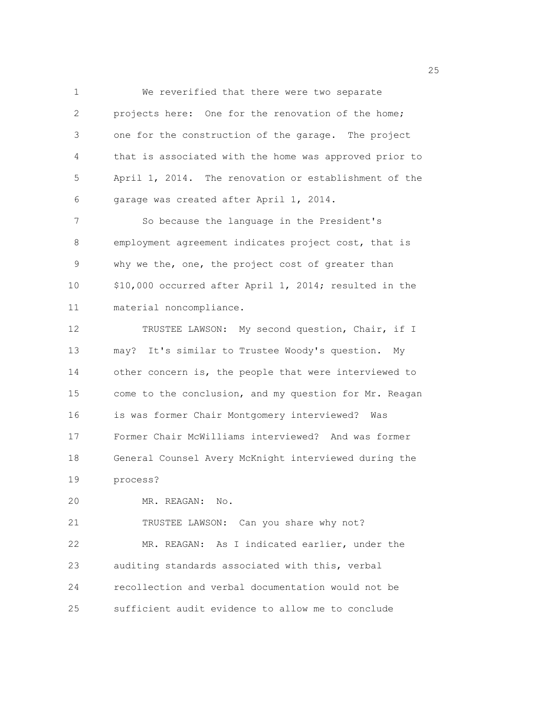1 We reverified that there were two separate 2 projects here: One for the renovation of the home; 3 one for the construction of the garage. The project 4 that is associated with the home was approved prior to 5 April 1, 2014. The renovation or establishment of the 6 garage was created after April 1, 2014.

7 So because the language in the President's 8 employment agreement indicates project cost, that is 9 why we the, one, the project cost of greater than 10 \$10,000 occurred after April 1, 2014; resulted in the 11 material noncompliance.

12 TRUSTEE LAWSON: My second question, Chair, if I 13 may? It's similar to Trustee Woody's question. My 14 other concern is, the people that were interviewed to 15 come to the conclusion, and my question for Mr. Reagan 16 is was former Chair Montgomery interviewed? Was 17 Former Chair McWilliams interviewed? And was former 18 General Counsel Avery McKnight interviewed during the 19 process?

20 MR. REAGAN: No.

21 TRUSTEE LAWSON: Can you share why not? 22 MR. REAGAN: As I indicated earlier, under the 23 auditing standards associated with this, verbal 24 recollection and verbal documentation would not be 25 sufficient audit evidence to allow me to conclude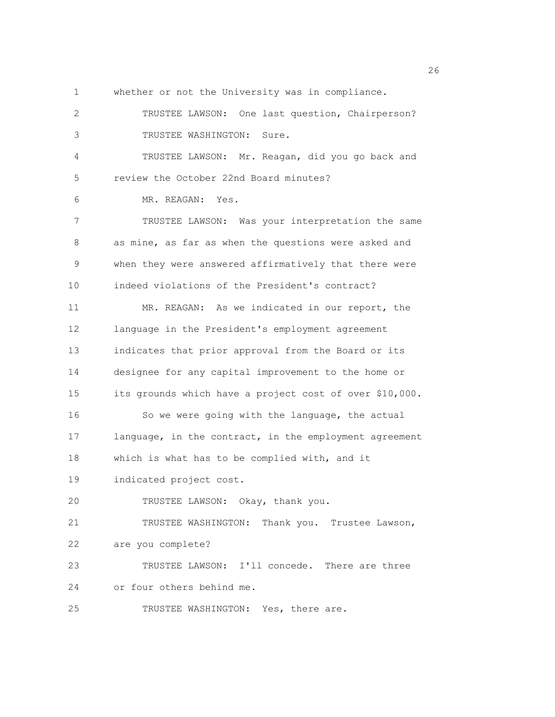- 
- 1 whether or not the University was in compliance.

2 TRUSTEE LAWSON: One last question, Chairperson? 3 TRUSTEE WASHINGTON: Sure. 4 TRUSTEE LAWSON: Mr. Reagan, did you go back and 5 review the October 22nd Board minutes? 6 MR. REAGAN: Yes. 7 TRUSTEE LAWSON: Was your interpretation the same 8 as mine, as far as when the questions were asked and 9 when they were answered affirmatively that there were 10 indeed violations of the President's contract? 11 MR. REAGAN: As we indicated in our report, the 12 language in the President's employment agreement 13 indicates that prior approval from the Board or its 14 designee for any capital improvement to the home or 15 its grounds which have a project cost of over \$10,000. 16 So we were going with the language, the actual 17 language, in the contract, in the employment agreement 18 which is what has to be complied with, and it 19 indicated project cost. 20 TRUSTEE LAWSON: Okay, thank you. 21 TRUSTEE WASHINGTON: Thank you. Trustee Lawson, 22 are you complete? 23 TRUSTEE LAWSON: I'll concede. There are three 24 or four others behind me. 25 TRUSTEE WASHINGTON: Yes, there are.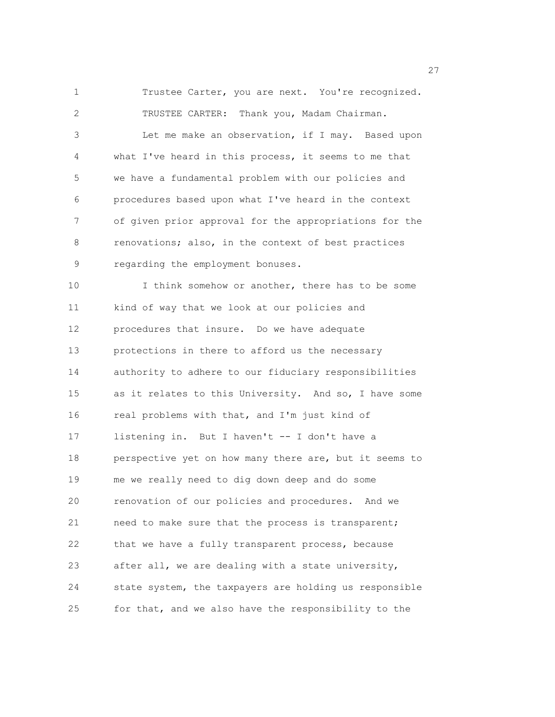1 Trustee Carter, you are next. You're recognized. 2 TRUSTEE CARTER: Thank you, Madam Chairman. 3 Let me make an observation, if I may. Based upon 4 what I've heard in this process, it seems to me that 5 we have a fundamental problem with our policies and 6 procedures based upon what I've heard in the context 7 of given prior approval for the appropriations for the 8 renovations; also, in the context of best practices 9 regarding the employment bonuses. 10 I think somehow or another, there has to be some 11 kind of way that we look at our policies and 12 procedures that insure. Do we have adequate 13 protections in there to afford us the necessary 14 authority to adhere to our fiduciary responsibilities 15 as it relates to this University. And so, I have some 16 real problems with that, and I'm just kind of 17 listening in. But I haven't -- I don't have a 18 perspective yet on how many there are, but it seems to 19 me we really need to dig down deep and do some 20 renovation of our policies and procedures. And we 21 need to make sure that the process is transparent; 22 that we have a fully transparent process, because 23 after all, we are dealing with a state university, 24 state system, the taxpayers are holding us responsible 25 for that, and we also have the responsibility to the

<u>27</u>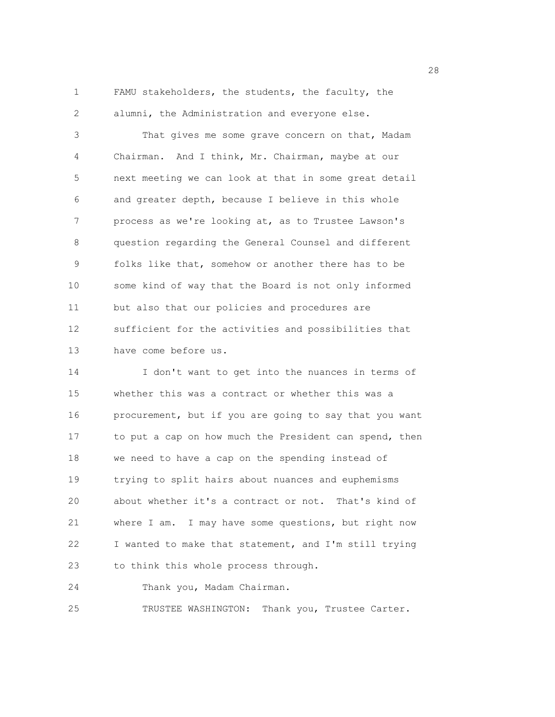1 FAMU stakeholders, the students, the faculty, the 2 alumni, the Administration and everyone else.

3 That gives me some grave concern on that, Madam 4 Chairman. And I think, Mr. Chairman, maybe at our 5 next meeting we can look at that in some great detail 6 and greater depth, because I believe in this whole 7 process as we're looking at, as to Trustee Lawson's 8 question regarding the General Counsel and different 9 folks like that, somehow or another there has to be 10 some kind of way that the Board is not only informed 11 but also that our policies and procedures are 12 sufficient for the activities and possibilities that 13 have come before us.

14 I don't want to get into the nuances in terms of 15 whether this was a contract or whether this was a 16 procurement, but if you are going to say that you want 17 to put a cap on how much the President can spend, then 18 we need to have a cap on the spending instead of 19 trying to split hairs about nuances and euphemisms 20 about whether it's a contract or not. That's kind of 21 where I am. I may have some questions, but right now 22 I wanted to make that statement, and I'm still trying 23 to think this whole process through.

24 Thank you, Madam Chairman.

25 TRUSTEE WASHINGTON: Thank you, Trustee Carter.

28 and 28 and 28 and 28 and 28 and 28 and 28 and 28 and 28 and 28 and 28 and 28 and 28 and 28 and 28 and 28 and 28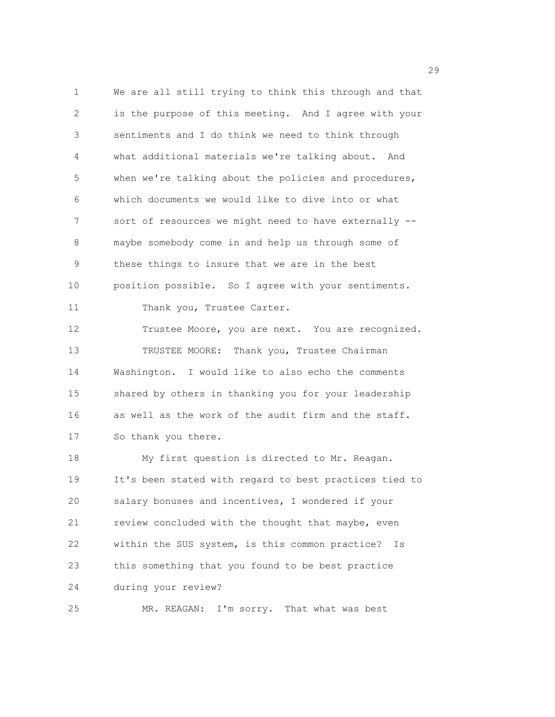1 We are all still trying to think this through and that 2 is the purpose of this meeting. And I agree with your 3 sentiments and I do think we need to think through 4 what additional materials we're talking about. And 5 when we're talking about the policies and procedures, 6 which documents we would like to dive into or what 7 sort of resources we might need to have externally -- 8 maybe somebody come in and help us through some of 9 these things to insure that we are in the best 10 position possible. So I agree with your sentiments. 11 Thank you, Trustee Carter. 12 Trustee Moore, you are next. You are recognized. 13 TRUSTEE MOORE: Thank you, Trustee Chairman 14 Washington. I would like to also echo the comments 15 shared by others in thanking you for your leadership 16 as well as the work of the audit firm and the staff. 17 So thank you there. 18 My first question is directed to Mr. Reagan. 19 It's been stated with regard to best practices tied to 20 salary bonuses and incentives, I wondered if your 21 review concluded with the thought that maybe, even 22 within the SUS system, is this common practice? Is 23 this something that you found to be best practice 24 during your review? 25 MR. REAGAN: I'm sorry. That what was best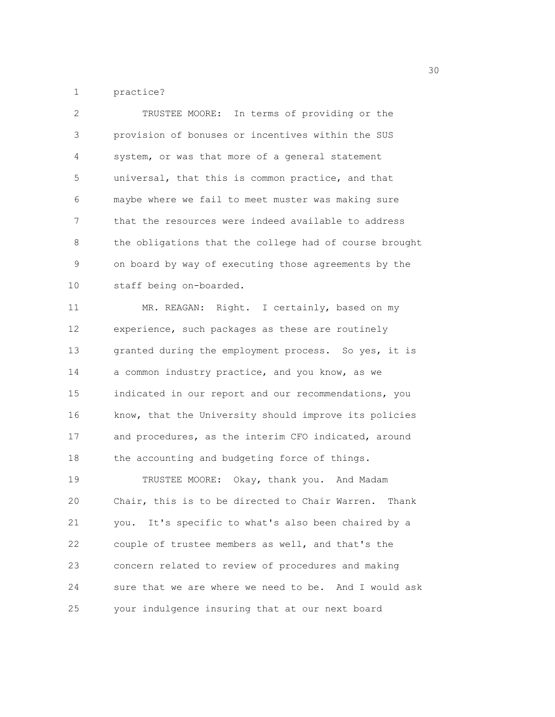1 practice?

| $\overline{2}$ | TRUSTEE MOORE: In terms of providing or the             |
|----------------|---------------------------------------------------------|
| 3              | provision of bonuses or incentives within the SUS       |
| 4              | system, or was that more of a general statement         |
| 5              | universal, that this is common practice, and that       |
| 6              | maybe where we fail to meet muster was making sure      |
| 7              | that the resources were indeed available to address     |
| 8              | the obligations that the college had of course brought  |
| $\mathsf 9$    | on board by way of executing those agreements by the    |
| 10             | staff being on-boarded.                                 |
| 11             | MR. REAGAN: Right. I certainly, based on my             |
| 12             | experience, such packages as these are routinely        |
| 13             | granted during the employment process. So yes, it is    |
| 14             | a common industry practice, and you know, as we         |
| 15             | indicated in our report and our recommendations, you    |
| 16             | know, that the University should improve its policies   |
| 17             | and procedures, as the interim CFO indicated, around    |
| 18             | the accounting and budgeting force of things.           |
| 19             | TRUSTEE MOORE: Okay, thank you. And Madam               |
| 20             | Chair, this is to be directed to Chair Warren.<br>Thank |
| 21             | you. It's specific to what's also been chaired by a     |
| 22             | couple of trustee members as well, and that's the       |
| 23             | concern related to review of procedures and making      |
| 24             | sure that we are where we need to be. And I would ask   |
| 25             | your indulgence insuring that at our next board         |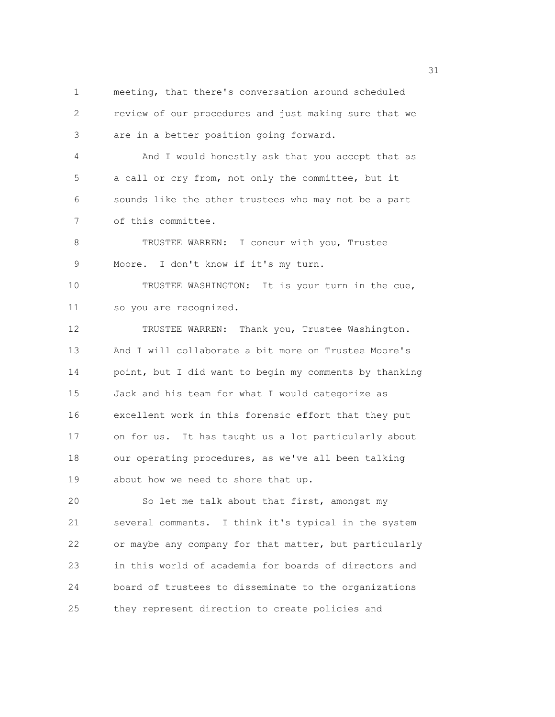1 meeting, that there's conversation around scheduled 2 review of our procedures and just making sure that we 3 are in a better position going forward. 4 And I would honestly ask that you accept that as 5 a call or cry from, not only the committee, but it 6 sounds like the other trustees who may not be a part 7 of this committee. 8 TRUSTEE WARREN: I concur with you, Trustee 9 Moore. I don't know if it's my turn. 10 TRUSTEE WASHINGTON: It is your turn in the cue, 11 so you are recognized. 12 TRUSTEE WARREN: Thank you, Trustee Washington. 13 And I will collaborate a bit more on Trustee Moore's 14 point, but I did want to begin my comments by thanking 15 Jack and his team for what I would categorize as 16 excellent work in this forensic effort that they put 17 on for us. It has taught us a lot particularly about 18 our operating procedures, as we've all been talking 19 about how we need to shore that up. 20 So let me talk about that first, amongst my 21 several comments. I think it's typical in the system 22 or maybe any company for that matter, but particularly 23 in this world of academia for boards of directors and

25 they represent direction to create policies and

24 board of trustees to disseminate to the organizations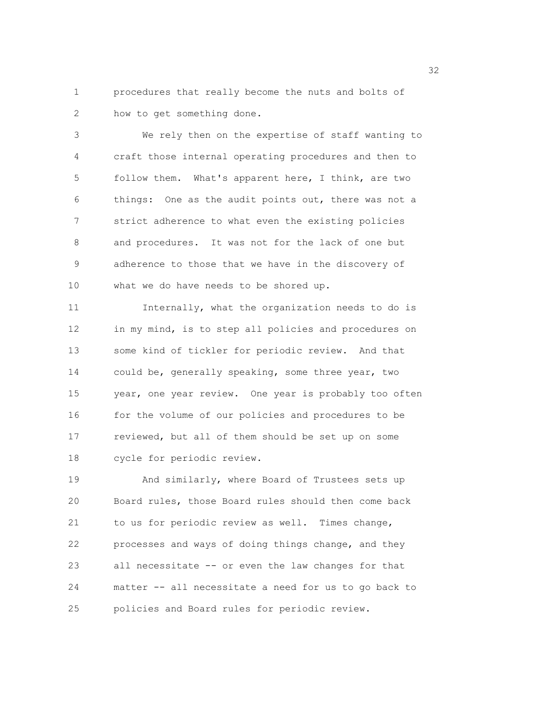1 procedures that really become the nuts and bolts of 2 how to get something done.

3 We rely then on the expertise of staff wanting to 4 craft those internal operating procedures and then to 5 follow them. What's apparent here, I think, are two 6 things: One as the audit points out, there was not a 7 strict adherence to what even the existing policies 8 and procedures. It was not for the lack of one but 9 adherence to those that we have in the discovery of 10 what we do have needs to be shored up.

11 Internally, what the organization needs to do is 12 in my mind, is to step all policies and procedures on 13 some kind of tickler for periodic review. And that 14 could be, generally speaking, some three year, two 15 year, one year review. One year is probably too often 16 for the volume of our policies and procedures to be 17 reviewed, but all of them should be set up on some 18 cycle for periodic review.

19 And similarly, where Board of Trustees sets up 20 Board rules, those Board rules should then come back 21 to us for periodic review as well. Times change, 22 processes and ways of doing things change, and they 23 all necessitate -- or even the law changes for that 24 matter -- all necessitate a need for us to go back to 25 policies and Board rules for periodic review.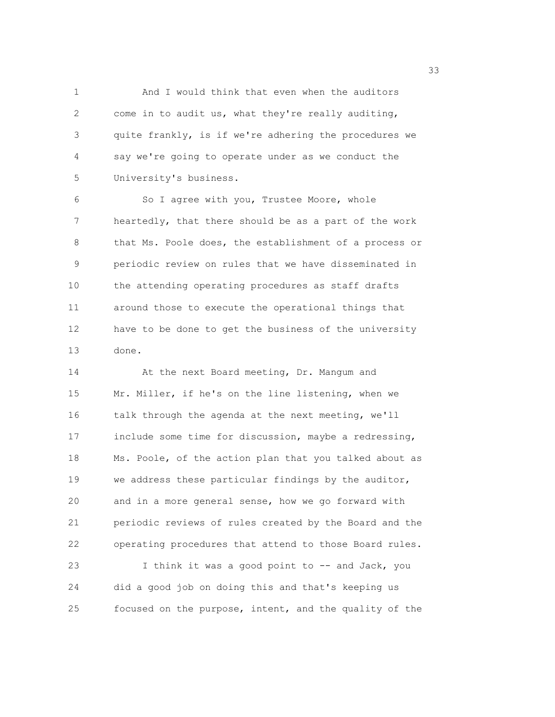1 And I would think that even when the auditors 2 come in to audit us, what they're really auditing, 3 quite frankly, is if we're adhering the procedures we 4 say we're going to operate under as we conduct the 5 University's business.

6 So I agree with you, Trustee Moore, whole 7 heartedly, that there should be as a part of the work 8 that Ms. Poole does, the establishment of a process or 9 periodic review on rules that we have disseminated in 10 the attending operating procedures as staff drafts 11 around those to execute the operational things that 12 have to be done to get the business of the university 13 done.

14 At the next Board meeting, Dr. Mangum and 15 Mr. Miller, if he's on the line listening, when we 16 talk through the agenda at the next meeting, we'll 17 include some time for discussion, maybe a redressing, 18 Ms. Poole, of the action plan that you talked about as 19 we address these particular findings by the auditor, 20 and in a more general sense, how we go forward with 21 periodic reviews of rules created by the Board and the 22 operating procedures that attend to those Board rules. 23 I think it was a good point to -- and Jack, you 24 did a good job on doing this and that's keeping us 25 focused on the purpose, intent, and the quality of the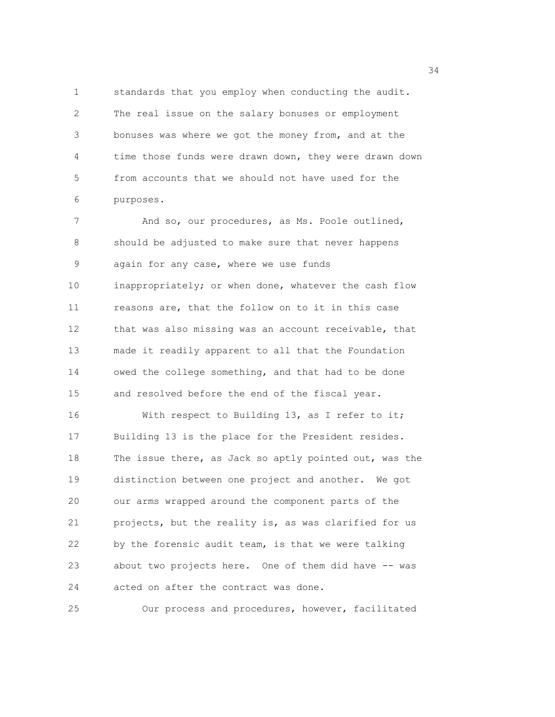1 standards that you employ when conducting the audit. 2 The real issue on the salary bonuses or employment 3 bonuses was where we got the money from, and at the 4 time those funds were drawn down, they were drawn down 5 from accounts that we should not have used for the 6 purposes.

7 And so, our procedures, as Ms. Poole outlined, 8 should be adjusted to make sure that never happens 9 again for any case, where we use funds 10 inappropriately; or when done, whatever the cash flow 11 reasons are, that the follow on to it in this case 12 that was also missing was an account receivable, that 13 made it readily apparent to all that the Foundation 14 owed the college something, and that had to be done 15 and resolved before the end of the fiscal year. 16 With respect to Building 13, as I refer to it; 17 Building 13 is the place for the President resides. 18 The issue there, as Jack so aptly pointed out, was the 19 distinction between one project and another. We got 20 our arms wrapped around the component parts of the 21 projects, but the reality is, as was clarified for us 22 by the forensic audit team, is that we were talking 23 about two projects here. One of them did have -- was 24 acted on after the contract was done.

25 Our process and procedures, however, facilitated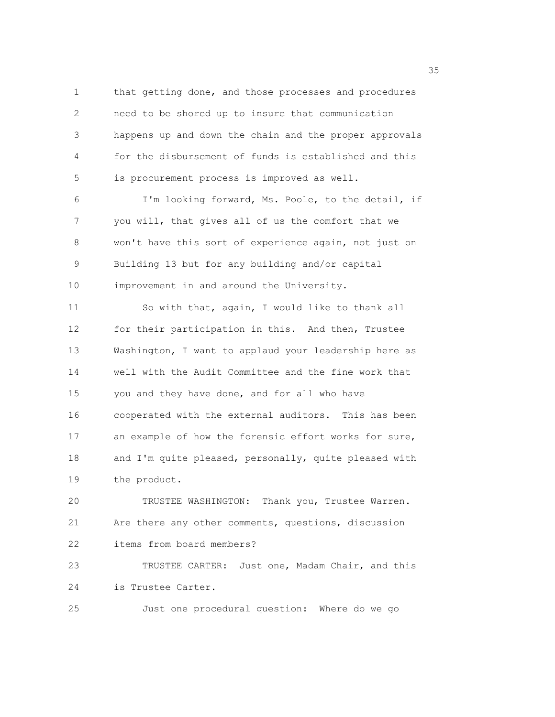1 that getting done, and those processes and procedures 2 need to be shored up to insure that communication 3 happens up and down the chain and the proper approvals 4 for the disbursement of funds is established and this 5 is procurement process is improved as well.

6 I'm looking forward, Ms. Poole, to the detail, if 7 you will, that gives all of us the comfort that we 8 won't have this sort of experience again, not just on 9 Building 13 but for any building and/or capital 10 improvement in and around the University.

11 So with that, again, I would like to thank all 12 for their participation in this. And then, Trustee 13 Washington, I want to applaud your leadership here as 14 well with the Audit Committee and the fine work that 15 you and they have done, and for all who have 16 cooperated with the external auditors. This has been 17 an example of how the forensic effort works for sure, 18 and I'm quite pleased, personally, quite pleased with 19 the product.

20 TRUSTEE WASHINGTON: Thank you, Trustee Warren. 21 Are there any other comments, questions, discussion 22 items from board members?

23 TRUSTEE CARTER: Just one, Madam Chair, and this 24 is Trustee Carter.

25 Just one procedural question: Where do we go

<u>35 September 2005 September 2005 September 2005 September 2005 September 2005 September 2005 September 2005 S</u>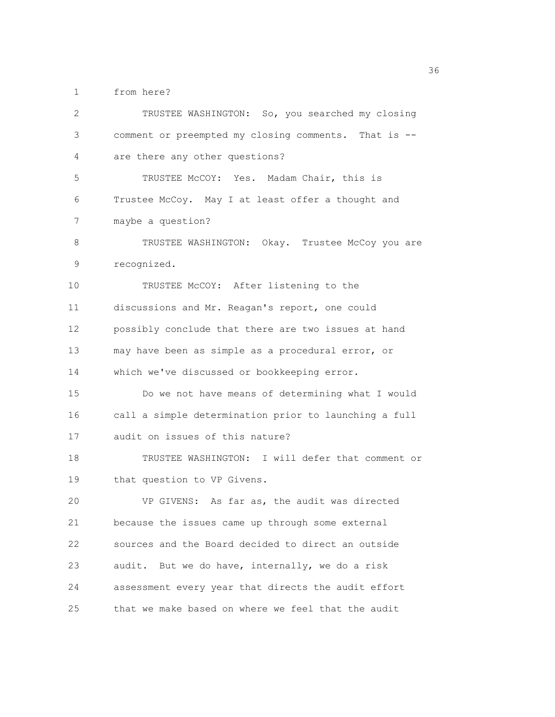1 from here?

| $\overline{2}$ | TRUSTEE WASHINGTON: So, you searched my closing       |
|----------------|-------------------------------------------------------|
| 3              | comment or preempted my closing comments. That is --  |
| 4              | are there any other questions?                        |
| 5              | TRUSTEE McCOY: Yes. Madam Chair, this is              |
| 6              | Trustee McCoy. May I at least offer a thought and     |
| 7              | maybe a question?                                     |
| 8              | TRUSTEE WASHINGTON: Okay. Trustee McCoy you are       |
| 9              | recognized.                                           |
| 10             | TRUSTEE McCOY: After listening to the                 |
| 11             | discussions and Mr. Reagan's report, one could        |
| 12             | possibly conclude that there are two issues at hand   |
| 13             | may have been as simple as a procedural error, or     |
| 14             | which we've discussed or bookkeeping error.           |
| 15             | Do we not have means of determining what I would      |
| 16             | call a simple determination prior to launching a full |
| 17             | audit on issues of this nature?                       |
| 18             | TRUSTEE WASHINGTON: I will defer that comment or      |
| 19             | that question to VP Givens.                           |
| 20             | VP GIVENS: As far as, the audit was directed          |
| 21             | because the issues came up through some external      |
| 22             | sources and the Board decided to direct an outside    |
| 23             | audit. But we do have, internally, we do a risk       |
| 24             | assessment every year that directs the audit effort   |
| 25             | that we make based on where we feel that the audit    |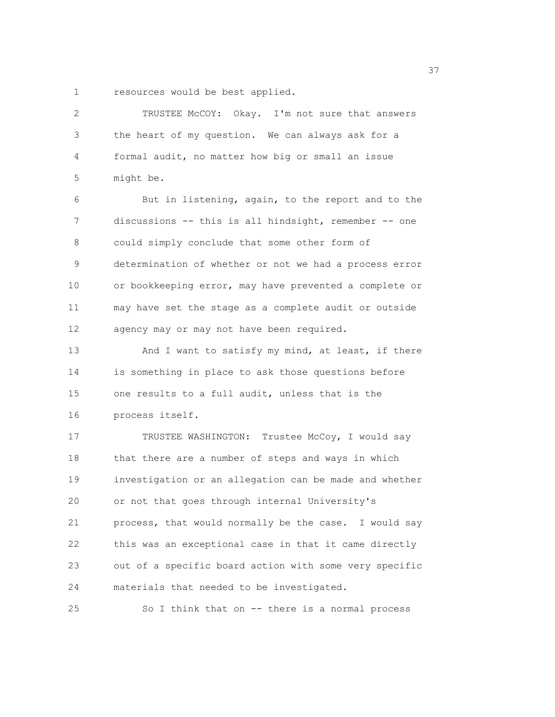1 resources would be best applied.

| $\overline{2}$ | TRUSTEE McCOY: Okay. I'm not sure that answers         |
|----------------|--------------------------------------------------------|
| 3              | the heart of my question. We can always ask for a      |
| 4              | formal audit, no matter how big or small an issue      |
| 5              | might be.                                              |
| 6              | But in listening, again, to the report and to the      |
| 7              | discussions -- this is all hindsight, remember -- one  |
| 8              | could simply conclude that some other form of          |
| 9              | determination of whether or not we had a process error |
| 10             | or bookkeeping error, may have prevented a complete or |
| 11             | may have set the stage as a complete audit or outside  |
| 12             | agency may or may not have been required.              |
| 13             | And I want to satisfy my mind, at least, if there      |
| 14             | is something in place to ask those questions before    |
| 15             | one results to a full audit, unless that is the        |
| 16             | process itself.                                        |
| 17             | TRUSTEE WASHINGTON: Trustee McCoy, I would say         |
| 18             | that there are a number of steps and ways in which     |
| 19             | investigation or an allegation can be made and whether |
| 20             | or not that goes through internal University's         |
| 21             | process, that would normally be the case. I would say  |
| 22             | this was an exceptional case in that it came directly  |
| 23             | out of a specific board action with some very specific |
| 24             | materials that needed to be investigated.              |
| 25             | So I think that on -- there is a normal process        |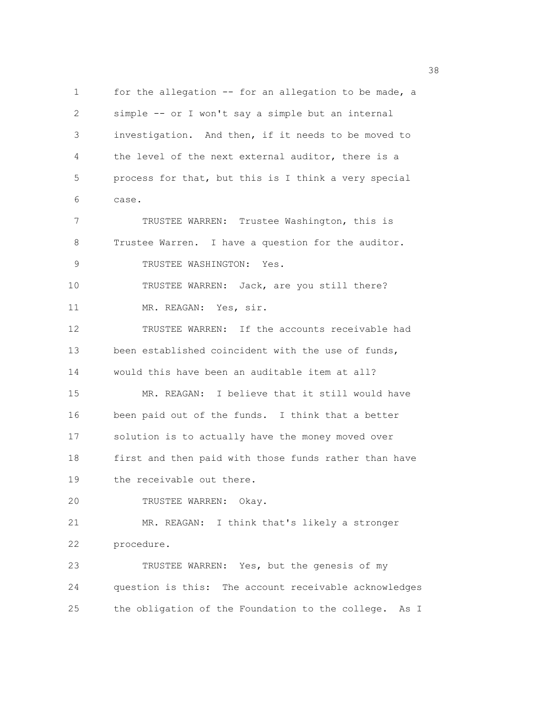1 for the allegation -- for an allegation to be made, a 2 simple -- or I won't say a simple but an internal 3 investigation. And then, if it needs to be moved to 4 the level of the next external auditor, there is a 5 process for that, but this is I think a very special 6 case. 7 TRUSTEE WARREN: Trustee Washington, this is 8 Trustee Warren. I have a question for the auditor. 9 TRUSTEE WASHINGTON: Yes. 10 TRUSTEE WARREN: Jack, are you still there? 11 MR. REAGAN: Yes, sir. 12 TRUSTEE WARREN: If the accounts receivable had 13 been established coincident with the use of funds, 14 would this have been an auditable item at all? 15 MR. REAGAN: I believe that it still would have 16 been paid out of the funds. I think that a better 17 solution is to actually have the money moved over 18 first and then paid with those funds rather than have 19 the receivable out there. 20 TRUSTEE WARREN: Okay. 21 MR. REAGAN: I think that's likely a stronger 22 procedure. 23 TRUSTEE WARREN: Yes, but the genesis of my 24 question is this: The account receivable acknowledges 25 the obligation of the Foundation to the college. As I

<u>38 and 2001 and 2002 and 2003 and 2003 and 2003 and 2003 and 2003 and 2003 and 2003</u>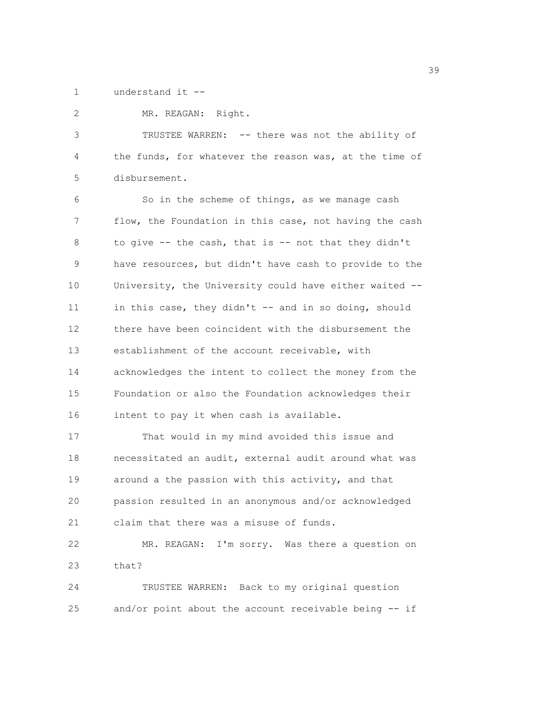1 understand it --

2 MR. REAGAN: Right. 3 TRUSTEE WARREN: -- there was not the ability of 4 the funds, for whatever the reason was, at the time of 5 disbursement. 6 So in the scheme of things, as we manage cash 7 flow, the Foundation in this case, not having the cash 8 to give -- the cash, that is -- not that they didn't 9 have resources, but didn't have cash to provide to the 10 University, the University could have either waited -- 11 in this case, they didn't -- and in so doing, should 12 there have been coincident with the disbursement the 13 establishment of the account receivable, with 14 acknowledges the intent to collect the money from the 15 Foundation or also the Foundation acknowledges their 16 intent to pay it when cash is available. 17 That would in my mind avoided this issue and 18 necessitated an audit, external audit around what was 19 around a the passion with this activity, and that 20 passion resulted in an anonymous and/or acknowledged 21 claim that there was a misuse of funds. 22 MR. REAGAN: I'm sorry. Was there a question on 23 that? 24 TRUSTEE WARREN: Back to my original question 25 and/or point about the account receivable being -- if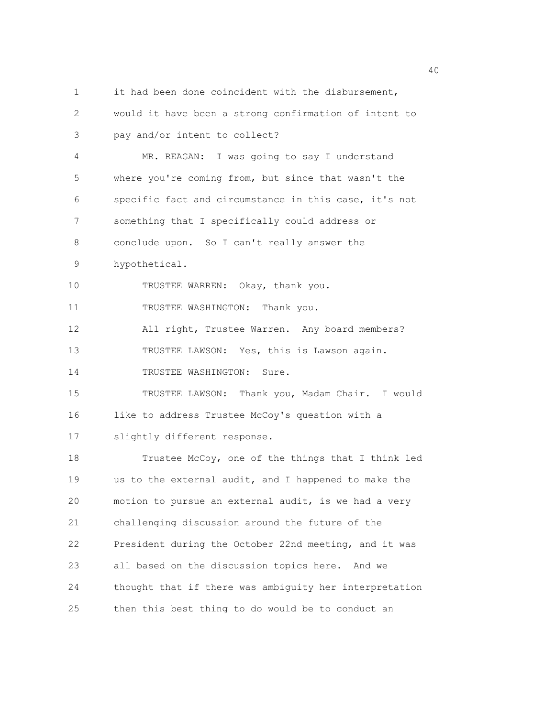1 it had been done coincident with the disbursement, 2 would it have been a strong confirmation of intent to 3 pay and/or intent to collect? 4 MR. REAGAN: I was going to say I understand 5 where you're coming from, but since that wasn't the 6 specific fact and circumstance in this case, it's not 7 something that I specifically could address or 8 conclude upon. So I can't really answer the 9 hypothetical. 10 TRUSTEE WARREN: Okay, thank you. 11 TRUSTEE WASHINGTON: Thank you. 12 All right, Trustee Warren. Any board members? 13 TRUSTEE LAWSON: Yes, this is Lawson again. 14 TRUSTEE WASHINGTON: Sure. 15 TRUSTEE LAWSON: Thank you, Madam Chair. I would 16 like to address Trustee McCoy's question with a 17 slightly different response. 18 Trustee McCoy, one of the things that I think led 19 us to the external audit, and I happened to make the 20 motion to pursue an external audit, is we had a very 21 challenging discussion around the future of the 22 President during the October 22nd meeting, and it was 23 all based on the discussion topics here. And we 24 thought that if there was ambiguity her interpretation 25 then this best thing to do would be to conduct an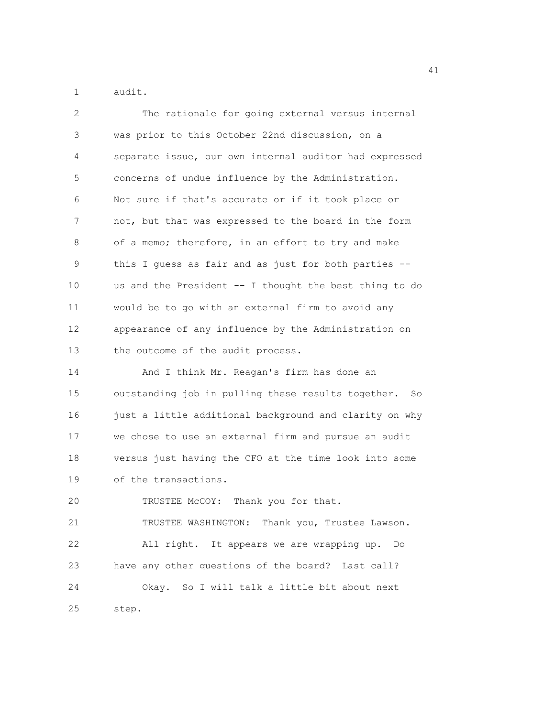1 audit.

| $\mathbf{2}$ | The rationale for going external versus internal       |
|--------------|--------------------------------------------------------|
| 3            | was prior to this October 22nd discussion, on a        |
| 4            | separate issue, our own internal auditor had expressed |
| 5            | concerns of undue influence by the Administration.     |
| 6            | Not sure if that's accurate or if it took place or     |
| 7            | not, but that was expressed to the board in the form   |
| 8            | of a memo; therefore, in an effort to try and make     |
| 9            | this I guess as fair and as just for both parties --   |
| 10           | us and the President -- I thought the best thing to do |
| 11           | would be to go with an external firm to avoid any      |
| 12           | appearance of any influence by the Administration on   |
| 13           | the outcome of the audit process.                      |
| 14           | And I think Mr. Reagan's firm has done an              |
| 15           | outstanding job in pulling these results together. So  |
| 16           | just a little additional background and clarity on why |
| 17           | we chose to use an external firm and pursue an audit   |
| 18           | versus just having the CFO at the time look into some  |
| 19           | of the transactions.                                   |
| 20           | TRUSTEE McCOY: Thank you for that.                     |
| 21           | TRUSTEE WASHINGTON: Thank you, Trustee Lawson.         |
| 22           | All right. It appears we are wrapping up.<br>Do        |
| 23           | have any other questions of the board? Last call?      |
| 24           | Okay. So I will talk a little bit about next           |
| 25           | step.                                                  |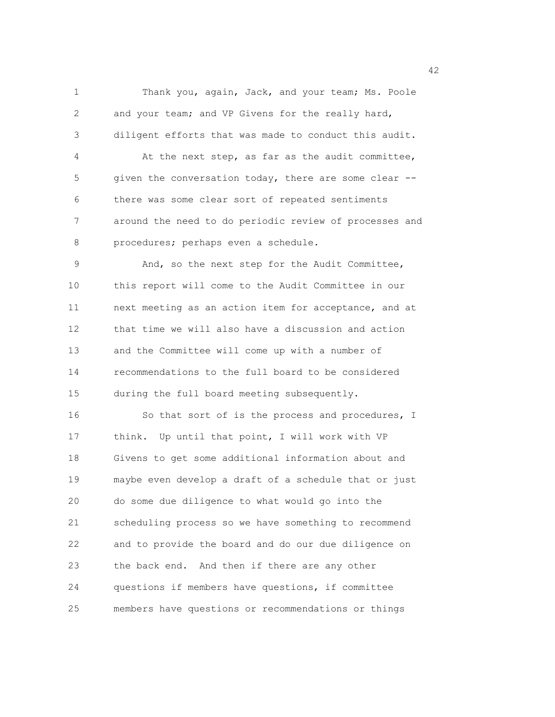1 Thank you, again, Jack, and your team; Ms. Poole 2 and your team; and VP Givens for the really hard, 3 diligent efforts that was made to conduct this audit. 4 At the next step, as far as the audit committee, 5 given the conversation today, there are some clear --6 there was some clear sort of repeated sentiments 7 around the need to do periodic review of processes and 8 procedures; perhaps even a schedule. 9 And, so the next step for the Audit Committee, 10 this report will come to the Audit Committee in our 11 next meeting as an action item for acceptance, and at 12 that time we will also have a discussion and action 13 and the Committee will come up with a number of 14 recommendations to the full board to be considered 15 during the full board meeting subsequently. 16 So that sort of is the process and procedures, I 17 think. Up until that point, I will work with VP 18 Givens to get some additional information about and 19 maybe even develop a draft of a schedule that or just 20 do some due diligence to what would go into the 21 scheduling process so we have something to recommend 22 and to provide the board and do our due diligence on 23 the back end. And then if there are any other 24 questions if members have questions, if committee 25 members have questions or recommendations or things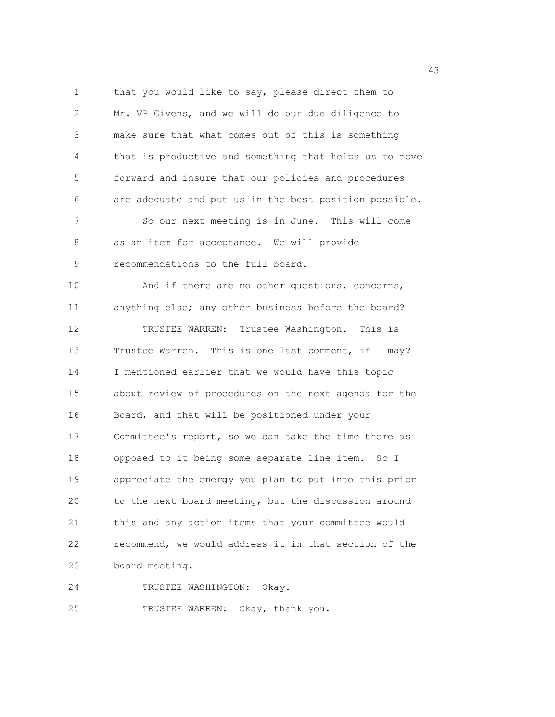1 that you would like to say, please direct them to 2 Mr. VP Givens, and we will do our due diligence to 3 make sure that what comes out of this is something 4 that is productive and something that helps us to move 5 forward and insure that our policies and procedures 6 are adequate and put us in the best position possible. 7 So our next meeting is in June. This will come 8 as an item for acceptance. We will provide 9 recommendations to the full board. 10 And if there are no other questions, concerns, 11 anything else; any other business before the board? 12 TRUSTEE WARREN: Trustee Washington. This is 13 Trustee Warren. This is one last comment, if I may? 14 I mentioned earlier that we would have this topic 15 about review of procedures on the next agenda for the 16 Board, and that will be positioned under your 17 Committee's report, so we can take the time there as 18 opposed to it being some separate line item. So I 19 appreciate the energy you plan to put into this prior 20 to the next board meeting, but the discussion around 21 this and any action items that your committee would 22 recommend, we would address it in that section of the 23 board meeting.

24 TRUSTEE WASHINGTON: Okay.

25 TRUSTEE WARREN: Okay, thank you.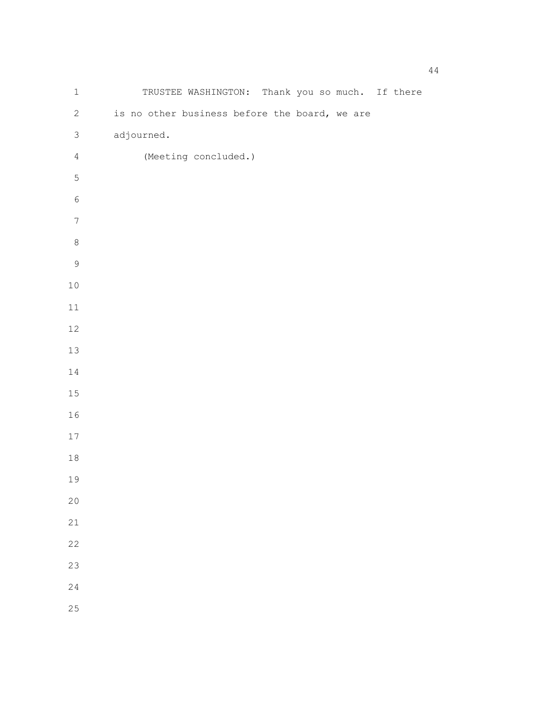| $\mathbf 1$      | TRUSTEE WASHINGTON: Thank you so much. If there |  |
|------------------|-------------------------------------------------|--|
| $\sqrt{2}$       | is no other business before the board, we are   |  |
| $\mathfrak{Z}$   | adjourned.                                      |  |
| $\overline{4}$   | (Meeting concluded.)                            |  |
| $\overline{5}$   |                                                 |  |
| $\epsilon$       |                                                 |  |
| $\boldsymbol{7}$ |                                                 |  |
| $\,8\,$          |                                                 |  |
| $\mathcal{G}$    |                                                 |  |
| $10\,$           |                                                 |  |
| $11\,$           |                                                 |  |
| 12               |                                                 |  |
| 13               |                                                 |  |
| $1\,4$           |                                                 |  |
| 15               |                                                 |  |
| 16               |                                                 |  |
| $17$             |                                                 |  |
| $18\,$           |                                                 |  |
| 19               |                                                 |  |
| 20               |                                                 |  |
| 21               |                                                 |  |
| 22               |                                                 |  |
| 23               |                                                 |  |
| 24               |                                                 |  |
| 25               |                                                 |  |